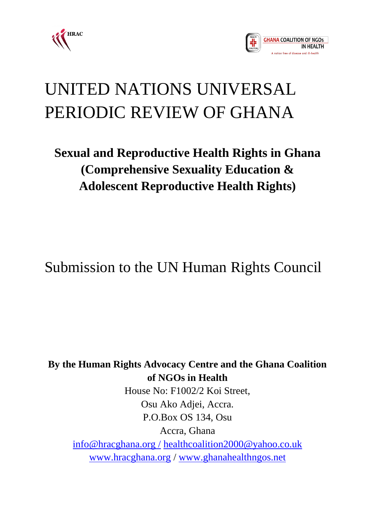



# UNITED NATIONS UNIVERSAL PERIODIC REVIEW OF GHANA

# **Sexual and Reproductive Health Rights in Ghana (Comprehensive Sexuality Education & Adolescent Reproductive Health Rights)**

Submission to the UN Human Rights Council

**By the Human Rights Advocacy Centre and the Ghana Coalition of NGOs in Health** House No: F1002/2 Koi Street, Osu Ako Adjei, Accra. P.O.Box OS 134, Osu Accra, Ghana [info@hracghana.org /](mailto:info@hracghana.org%20/) [healthcoalition2000@yahoo.co.uk](mailto:healthcoalition2000@yahoo.co.uk) [www.hracghana.org](http://www.hracghana.org/) / [www.ghanahealthngos.net](http://www.ghanahealthngos.net/)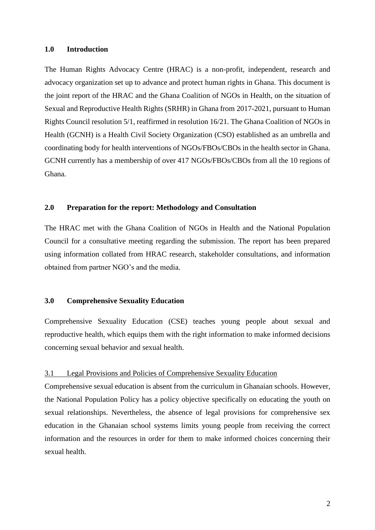#### **1.0 Introduction**

The Human Rights Advocacy Centre (HRAC) is a non-profit, independent, research and advocacy organization set up to advance and protect human rights in Ghana. This document is the joint report of the HRAC and the Ghana Coalition of NGOs in Health, on the situation of Sexual and Reproductive Health Rights (SRHR) in Ghana from 2017-2021, pursuant to Human Rights Council resolution 5/1, reaffirmed in resolution 16/21. The Ghana Coalition of NGOs in Health (GCNH) is a Health Civil Society Organization (CSO) established as an umbrella and coordinating body for health interventions of NGOs/FBOs/CBOs in the health sector in Ghana. GCNH currently has a membership of over 417 NGOs/FBOs/CBOs from all the 10 regions of Ghana.

# **2.0 Preparation for the report: Methodology and Consultation**

The HRAC met with the Ghana Coalition of NGOs in Health and the National Population Council for a consultative meeting regarding the submission. The report has been prepared using information collated from HRAC research, stakeholder consultations, and information obtained from partner NGO's and the media.

# **3.0 Comprehensive Sexuality Education**

Comprehensive Sexuality Education (CSE) teaches young people about sexual and reproductive health, which equips them with the right information to make informed decisions concerning sexual behavior and sexual health.

#### 3.1 Legal Provisions and Policies of Comprehensive Sexuality Education

Comprehensive sexual education is absent from the curriculum in Ghanaian schools. However, the National Population Policy has a policy objective specifically on educating the youth on sexual relationships. Nevertheless, the absence of legal provisions for comprehensive sex education in the Ghanaian school systems limits young people from receiving the correct information and the resources in order for them to make informed choices concerning their sexual health.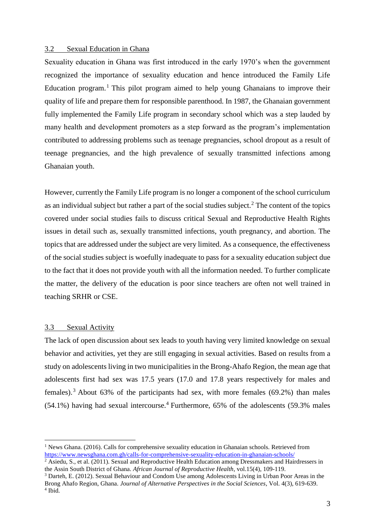#### 3.2 Sexual Education in Ghana

Sexuality education in Ghana was first introduced in the early 1970's when the government recognized the importance of sexuality education and hence introduced the Family Life Education program.<sup>1</sup> This pilot program aimed to help young Ghanaians to improve their quality of life and prepare them for responsible parenthood. In 1987, the Ghanaian government fully implemented the Family Life program in secondary school which was a step lauded by many health and development promoters as a step forward as the program's implementation contributed to addressing problems such as teenage pregnancies, school dropout as a result of teenage pregnancies, and the high prevalence of sexually transmitted infections among Ghanaian youth.

However, currently the Family Life program is no longer a component of the school curriculum as an individual subject but rather a part of the social studies subject.<sup>2</sup> The content of the topics covered under social studies fails to discuss critical Sexual and Reproductive Health Rights issues in detail such as, sexually transmitted infections, youth pregnancy, and abortion. The topics that are addressed under the subject are very limited. As a consequence, the effectiveness of the social studies subject is woefully inadequate to pass for a sexuality education subject due to the fact that it does not provide youth with all the information needed. To further complicate the matter, the delivery of the education is poor since teachers are often not well trained in teaching SRHR or CSE.

# 3.3 Sexual Activity

 $\overline{a}$ 

The lack of open discussion about sex leads to youth having very limited knowledge on sexual behavior and activities, yet they are still engaging in sexual activities. Based on results from a study on adolescents living in two municipalities in the Brong-Ahafo Region, the mean age that adolescents first had sex was 17.5 years (17.0 and 17.8 years respectively for males and females).<sup>3</sup> About 63% of the participants had sex, with more females (69.2%) than males  $(54.1\%)$  having had sexual intercourse.<sup>4</sup> Furthermore,  $65\%$  of the adolescents  $(59.3\%$  males

<sup>3</sup> Darteh, E. (2012). Sexual Behaviour and Condom Use among Adolescents Living in Urban Poor Areas in the Brong Ahafo Region, Ghana. *Journal of Alternative Perspectives in the Social Sciences*, Vol. 4(3), 619-639. 4 Ibid.

 $1$  News Ghana. (2016). Calls for comprehensive sexuality education in Ghanaian schools. Retrieved from <https://www.newsghana.com.gh/calls-for-comprehensive-sexuality-education-in-ghanaian-schools/>

<sup>&</sup>lt;sup>2</sup> Asiedu, S., et al. (2011). Sexual and Reproductive Health Education among Dressmakers and Hairdressers in the Assin South District of Ghana. *African Journal of Reproductive Health*, vol.15(4), 109-119.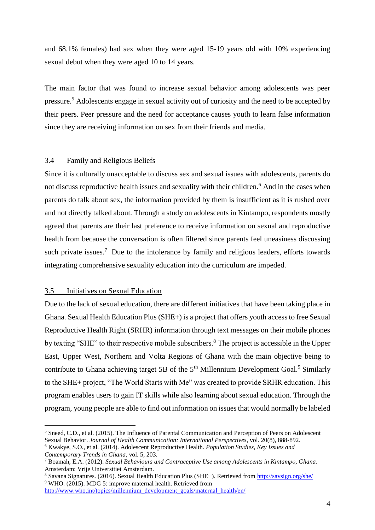and 68.1% females) had sex when they were aged 15-19 years old with 10% experiencing sexual debut when they were aged 10 to 14 years.

The main factor that was found to increase sexual behavior among adolescents was peer pressure.<sup>5</sup> Adolescents engage in sexual activity out of curiosity and the need to be accepted by their peers. Peer pressure and the need for acceptance causes youth to learn false information since they are receiving information on sex from their friends and media.

# 3.4 Family and Religious Beliefs

Since it is culturally unacceptable to discuss sex and sexual issues with adolescents, parents do not discuss reproductive health issues and sexuality with their children.<sup>6</sup> And in the cases when parents do talk about sex, the information provided by them is insufficient as it is rushed over and not directly talked about. Through a study on adolescents in Kintampo, respondents mostly agreed that parents are their last preference to receive information on sexual and reproductive health from because the conversation is often filtered since parents feel uneasiness discussing such private issues.<sup>7</sup> Due to the intolerance by family and religious leaders, efforts towards integrating comprehensive sexuality education into the curriculum are impeded.

# 3.5 Initiatives on Sexual Education

 $\overline{a}$ 

Due to the lack of sexual education, there are different initiatives that have been taking place in Ghana. Sexual Health Education Plus (SHE+) is a project that offers youth access to free Sexual Reproductive Health Right (SRHR) information through text messages on their mobile phones by texting "SHE" to their respective mobile subscribers.<sup>8</sup> The project is accessible in the Upper East, Upper West, Northern and Volta Regions of Ghana with the main objective being to contribute to Ghana achieving target 5B of the  $5<sup>th</sup>$  Millennium Development Goal.<sup>9</sup> Similarly to the SHE+ project, "The World Starts with Me" was created to provide SRHR education. This program enables users to gain IT skills while also learning about sexual education. Through the program, young people are able to find out information on issues that would normally be labeled

<sup>&</sup>lt;sup>5</sup> Sneed, C.D., et al. (2015). The Influence of Parental Communication and Perception of Peers on Adolescent Sexual Behavior. *Journal of Health Communication: International Perspectives*, vol. 20(8), 888-892.

<sup>6</sup> Kwakye, S.O., et al. (2014). Adolescent Reproductive Health. *Population Studies, Key Issues and Contemporary Trends in Ghana*, vol. 5, 203.

<sup>7</sup> Boamah, E.A. (2012). *Sexual Behaviours and Contraceptive Use among Adolescents in Kintampo, Ghana*. Amsterdam: Vrije Universitiet Amsterdam.

<sup>&</sup>lt;sup>8</sup> Savana Signatures. (2016). Sexual Health Education Plus (SHE+). Retrieved from<http://savsign.org/she/> <sup>9</sup> WHO. (2015). MDG 5: improve maternal health. Retrieved from

[http://www.who.int/topics/millennium\\_development\\_goals/maternal\\_health/en/](http://www.who.int/topics/millennium_development_goals/maternal_health/en/)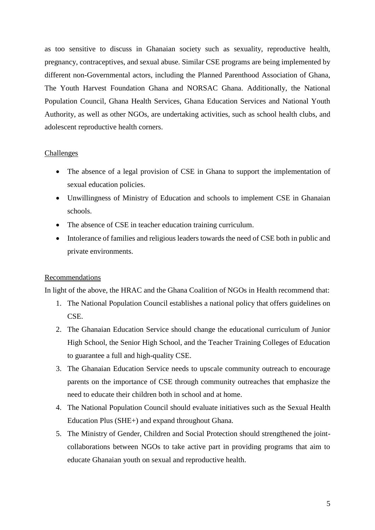as too sensitive to discuss in Ghanaian society such as sexuality, reproductive health, pregnancy, contraceptives, and sexual abuse. Similar CSE programs are being implemented by different non-Governmental actors, including the Planned Parenthood Association of Ghana, The Youth Harvest Foundation Ghana and NORSAC Ghana. Additionally, the National Population Council, Ghana Health Services, Ghana Education Services and National Youth Authority, as well as other NGOs, are undertaking activities, such as school health clubs, and adolescent reproductive health corners.

# **Challenges**

- The absence of a legal provision of CSE in Ghana to support the implementation of sexual education policies.
- Unwillingness of Ministry of Education and schools to implement CSE in Ghanaian schools.
- The absence of CSE in teacher education training curriculum.
- Intolerance of families and religious leaders towards the need of CSE both in public and private environments.

# **Recommendations**

In light of the above, the HRAC and the Ghana Coalition of NGOs in Health recommend that:

- 1. The National Population Council establishes a national policy that offers guidelines on CSE.
- 2. The Ghanaian Education Service should change the educational curriculum of Junior High School, the Senior High School, and the Teacher Training Colleges of Education to guarantee a full and high-quality CSE.
- 3. The Ghanaian Education Service needs to upscale community outreach to encourage parents on the importance of CSE through community outreaches that emphasize the need to educate their children both in school and at home.
- 4. The National Population Council should evaluate initiatives such as the Sexual Health Education Plus (SHE+) and expand throughout Ghana.
- 5. The Ministry of Gender, Children and Social Protection should strengthened the jointcollaborations between NGOs to take active part in providing programs that aim to educate Ghanaian youth on sexual and reproductive health.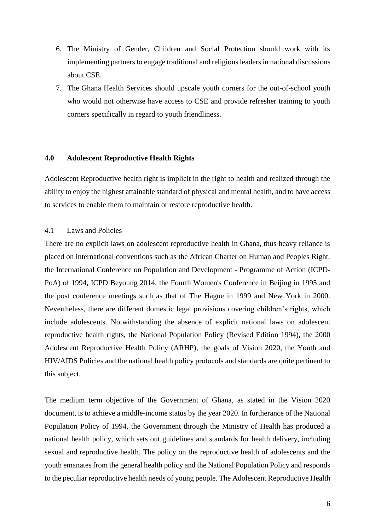- 6. The Ministry of Gender, Children and Social Protection should work with its implementing partners to engage traditional and religious leaders in national discussions about CSE.
- 7. The Ghana Health Services should upscale youth corners for the out-of-school youth who would not otherwise have access to CSE and provide refresher training to youth corners specifically in regard to youth friendliness.

# **4.0 Adolescent Reproductive Health Rights**

Adolescent Reproductive health right is implicit in the right to health and realized through the ability to enjoy the highest attainable standard of physical and mental health, and to have access to services to enable them to maintain or restore reproductive health.

# 4.1 Laws and Policies

There are no explicit laws on adolescent reproductive health in Ghana, thus heavy reliance is placed on international conventions such as the African Charter on Human and Peoples Right, the International Conference on Population and Development - Programme of Action (ICPD-PoA) of 1994, ICPD Beyoung 2014, the Fourth Women's Conference in Beijing in 1995 and the post conference meetings such as that of The Hague in 1999 and New York in 2000. Nevertheless, there are different domestic legal provisions covering children's rights, which include adolescents. Notwithstanding the absence of explicit national laws on adolescent reproductive health rights, the National Population Policy (Revised Edition 1994), the 2000 Adolescent Reproductive Health Policy (ARHP), the goals of Vision 2020, the Youth and HIV/AIDS Policies and the national health policy protocols and standards are quite pertinent to this subject.

The medium term objective of the Government of Ghana, as stated in the Vision 2020 document, is to achieve a middle-income status by the year 2020. In furtherance of the National Population Policy of 1994, the Government through the Ministry of Health has produced a national health policy, which sets out guidelines and standards for health delivery, including sexual and reproductive health. The policy on the reproductive health of adolescents and the youth emanates from the general health policy and the National Population Policy and responds to the peculiar reproductive health needs of young people. The Adolescent Reproductive Health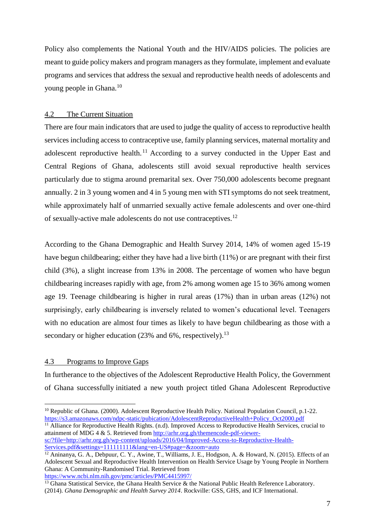Policy also complements the National Youth and the HIV/AIDS policies. The policies are meant to guide policy makers and program managers as they formulate, implement and evaluate programs and services that address the sexual and reproductive health needs of adolescents and young people in Ghana.<sup>10</sup>

# 4.2 The Current Situation

There are four main indicators that are used to judge the quality of access to reproductive health services including access to contraceptive use, family planning services, maternal mortality and adolescent reproductive health.<sup>11</sup> According to a survey conducted in the Upper East and Central Regions of Ghana, adolescents still avoid sexual reproductive health services particularly due to stigma around premarital sex. Over 750,000 adolescents become pregnant annually. 2 in 3 young women and 4 in 5 young men with STI symptoms do not seek treatment, while approximately half of unmarried sexually active female adolescents and over one-third of sexually-active male adolescents do not use contraceptives.<sup>12</sup>

According to the Ghana Demographic and Health Survey 2014, 14% of women aged 15-19 have begun childbearing; either they have had a live birth (11%) or are pregnant with their first child (3%), a slight increase from 13% in 2008. The percentage of women who have begun childbearing increases rapidly with age, from 2% among women age 15 to 36% among women age 19. Teenage childbearing is higher in rural areas (17%) than in urban areas (12%) not surprisingly, early childbearing is inversely related to women's educational level. Teenagers with no education are almost four times as likely to have begun childbearing as those with a secondary or higher education (23% and 6%, respectively).<sup>13</sup>

# 4.3 Programs to Improve Gaps

 $\overline{a}$ 

In furtherance to the objectives of the Adolescent Reproductive Health Policy, the Government of Ghana successfully initiated a new youth project titled Ghana Adolescent Reproductive

<sup>11</sup> Alliance for Reproductive Health Rights. (n.d). Improved Access to Reproductive Health Services, crucial to attainment of MDG 4 & 5. Retrieved from [http://arhr.org.gh/themencode-pdf-viewer](http://arhr.org.gh/themencode-pdf-viewer-sc/?file=http://arhr.org.gh/wp-content/uploads/2016/04/Improved-Access-to-Reproductive-Health-Services.pdf&settings=111111111&lang=en-US#page=&zoom=auto)[sc/?file=http://arhr.org.gh/wp-content/uploads/2016/04/Improved-Access-to-Reproductive-Health-](http://arhr.org.gh/themencode-pdf-viewer-sc/?file=http://arhr.org.gh/wp-content/uploads/2016/04/Improved-Access-to-Reproductive-Health-Services.pdf&settings=111111111&lang=en-US#page=&zoom=auto)[Services.pdf&settings=111111111&lang=en-US#page=&zoom=auto](http://arhr.org.gh/themencode-pdf-viewer-sc/?file=http://arhr.org.gh/wp-content/uploads/2016/04/Improved-Access-to-Reproductive-Health-Services.pdf&settings=111111111&lang=en-US#page=&zoom=auto)

<sup>&</sup>lt;sup>10</sup> Republic of Ghana. (2000). Adolescent Reproductive Health Policy. National Population Council, p.1-22. [https://s3.amazonaws.com/ndpc-static/pubication/AdolescentReproductiveHealth+Policy\\_Oct2000.pdf](https://s3.amazonaws.com/ndpc-static/pubication/AdolescentReproductiveHealth+Policy_Oct2000.pdf) 

<sup>&</sup>lt;sup>12</sup> Aninanya, G. A., Debpuur, C. Y., Awine, T., Williams, J. E., Hodgson, A. & Howard, N. (2015). Effects of an Adolescent Sexual and Reproductive Health Intervention on Health Service Usage by Young People in Northern Ghana: A Community-Randomised Trial. Retrieved from <https://www.ncbi.nlm.nih.gov/pmc/articles/PMC4415997/>

<sup>&</sup>lt;sup>13</sup> Ghana Statistical Service, the Ghana Health Service & the National Public Health Reference Laboratory. (2014). *Ghana Demographic and Health Survey 2014*. Rockville: GSS, GHS, and ICF International.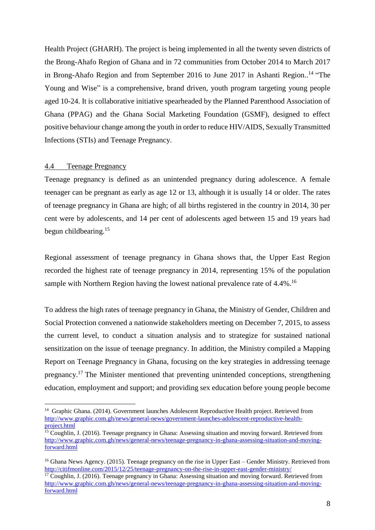Health Project (GHARH). The project is being implemented in all the twenty seven districts of the Brong-Ahafo Region of Ghana and in 72 communities from October 2014 to March 2017 in Brong-Ahafo Region and from September 2016 to June 2017 in Ashanti Region..<sup>14</sup> "The Young and Wise" is a comprehensive, brand driven, youth program targeting young people aged 10-24. It is collaborative initiative spearheaded by the Planned Parenthood Association of Ghana (PPAG) and the Ghana Social Marketing Foundation (GSMF), designed to effect positive behaviour change among the youth in order to reduce HIV/AIDS, Sexually Transmitted Infections (STIs) and Teenage Pregnancy.

#### 4.4 Teenage Pregnancy

 $\overline{a}$ 

Teenage pregnancy is defined as an unintended pregnancy during adolescence. A female teenager can be pregnant as early as age 12 or 13, although it is usually 14 or older. The rates of teenage pregnancy in Ghana are high; of all births registered in the country in 2014, 30 per cent were by adolescents, and 14 per cent of adolescents aged between 15 and 19 years had begun childbearing.<sup>15</sup>

Regional assessment of teenage pregnancy in Ghana shows that, the Upper East Region recorded the highest rate of teenage pregnancy in 2014, representing 15% of the population sample with Northern Region having the lowest national prevalence rate of 4.4%.<sup>16</sup>

To address the high rates of teenage pregnancy in Ghana, the Ministry of Gender, Children and Social Protection convened a nationwide stakeholders meeting on December 7, 2015, to assess the current level, to conduct a situation analysis and to strategize for sustained national sensitization on the issue of teenage pregnancy. In addition, the Ministry compiled a Mapping Report on Teenage Pregnancy in Ghana, focusing on the key strategies in addressing teenage pregnancy.<sup>17</sup> The Minister mentioned that preventing unintended conceptions, strengthening education, employment and support; and providing sex education before young people become

<sup>&</sup>lt;sup>14</sup> Graphic Ghana. (2014). Government launches Adolescent Reproductive Health project. Retrieved from [http://www.graphic.com.gh/news/general-news/government-launches-adolescent-reproductive-health](http://www.graphic.com.gh/news/general-news/government-launches-adolescent-reproductive-health-project.html)[project.html](http://www.graphic.com.gh/news/general-news/government-launches-adolescent-reproductive-health-project.html) 

<sup>&</sup>lt;sup>15</sup> Coughlin, J. (2016). Teenage pregnancy in Ghana: Assessing situation and moving forward. Retrieved from [http://www.graphic.com.gh/news/general-news/teenage-pregnancy-in-ghana-assessing-situation-and-moving](http://www.graphic.com.gh/news/general-news/teenage-pregnancy-in-ghana-assessing-situation-and-moving-forward.html)[forward.html](http://www.graphic.com.gh/news/general-news/teenage-pregnancy-in-ghana-assessing-situation-and-moving-forward.html)

<sup>16</sup> Ghana News Agency. (2015). Teenage pregnancy on the rise in Upper East – Gender Ministry. Retrieved from <http://citifmonline.com/2015/12/25/teenage-pregnancy-on-the-rise-in-upper-east-gender-ministry/>

<sup>&</sup>lt;sup>17</sup> Coughlin, J. (2016). Teenage pregnancy in Ghana: Assessing situation and moving forward. Retrieved from [http://www.graphic.com.gh/news/general-news/teenage-pregnancy-in-ghana-assessing-situation-and-moving](http://www.graphic.com.gh/news/general-news/teenage-pregnancy-in-ghana-assessing-situation-and-moving-forward.html)[forward.html](http://www.graphic.com.gh/news/general-news/teenage-pregnancy-in-ghana-assessing-situation-and-moving-forward.html)